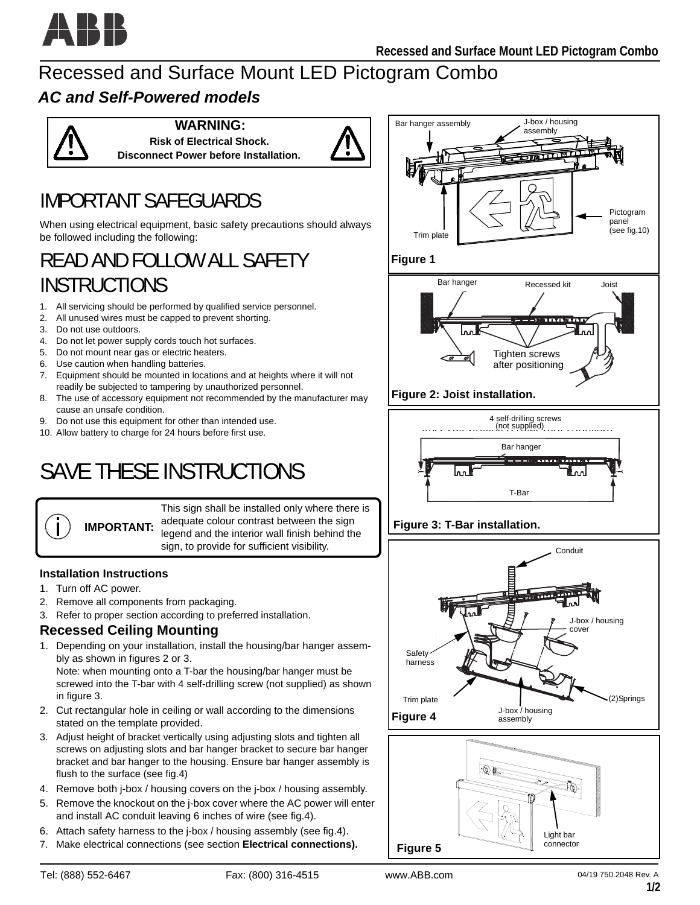

## Recessed and Surface Mount LED Pictogram Combo

## *AC and Self-Powered models*



**WARNING: Risk of Electrical Shock. Disconnect Power before Installation.**



## IMPORTANT SAFEGUARDS

When using electrical equipment, basic safety precautions should always be followed including the following:

## READ AND FOLLOW ALL SAFETY INSTRUCTIONS

- 1. All servicing should be performed by qualified service personnel.
- 2. All unused wires must be capped to prevent shorting.
- 3. Do not use outdoors.
- 4. Do not let power supply cords touch hot surfaces.
- 5. Do not mount near gas or electric heaters.
- 6. Use caution when handling batteries.
- 7. Equipment should be mounted in locations and at heights where it will not readily be subjected to tampering by unauthorized personnel.
- 8. The use of accessory equipment not recommended by the manufacturer may cause an unsafe condition.
- 9. Do not use this equipment for other than intended use.
- 10. Allow battery to charge for 24 hours before first use.

# SAVE THESE INSTRUCTIONS

This sign shall be installed only where there is adequate colour contrast between the sign legend and the interior wall finish behind the sign, to provide for sufficient visibility.

#### **Installation Instructions**

**IMPORTANT:**

- 1. Turn off AC power.
- 2. Remove all components from packaging.
- 3. Refer to proper section according to preferred installation.

### **Recessed Ceiling Mounting**

1. Depending on your installation, install the housing/bar hanger assembly as shown in figures 2 or 3.

Note: when mounting onto a T-bar the housing/bar hanger must be screwed into the T-bar with 4 self-drilling screw (not supplied) as shown in figure 3.

- 2. Cut rectangular hole in ceiling or wall according to the dimensions stated on the template provided.
- 3. Adjust height of bracket vertically using adjusting slots and tighten all screws on adjusting slots and bar hanger bracket to secure bar hanger bracket and bar hanger to the housing. Ensure bar hanger assembly is flush to the surface (see fig.4)
- 4. Remove both j-box / housing covers on the j-box / housing assembly.
- 5. Remove the knockout on the j-box cover where the AC power will enter and install AC conduit leaving 6 inches of wire (see fig.4).
- 6. Attach safety harness to the j-box / housing assembly (see fig.4).
- 7. Make electrical connections (see section **Electrical connections).**





Light bar connector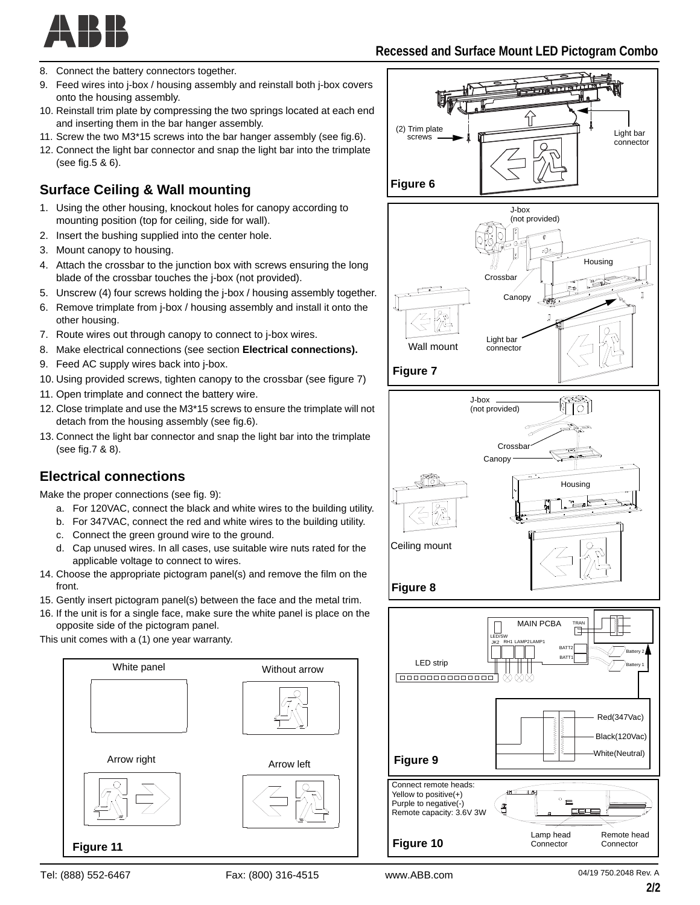

- 8. Connect the battery connectors together.
- 9. Feed wires into j-box / housing assembly and reinstall both j-box covers onto the housing assembly.
- 10. Reinstall trim plate by compressing the two springs located at each end and inserting them in the bar hanger assembly.
- 11. Screw the two M3\*15 screws into the bar hanger assembly (see fig.6).
- 12. Connect the light bar connector and snap the light bar into the trimplate (see fig.5 & 6).

## **Surface Ceiling & Wall mounting**

- 1. Using the other housing, knockout holes for canopy according to mounting position (top for ceiling, side for wall).
- 2. Insert the bushing supplied into the center hole.
- 3. Mount canopy to housing.
- 4. Attach the crossbar to the junction box with screws ensuring the long blade of the crossbar touches the j-box (not provided).
- 5. Unscrew (4) four screws holding the j-box / housing assembly together.
- 6. Remove trimplate from j-box / housing assembly and install it onto the other housing.
- 7. Route wires out through canopy to connect to j-box wires.
- 8. Make electrical connections (see section **Electrical connections).**
- 9. Feed AC supply wires back into j-box.
- 10. Using provided screws, tighten canopy to the crossbar (see figure 7)
- 11. Open trimplate and connect the battery wire.
- 12. Close trimplate and use the M3\*15 screws to ensure the trimplate will not detach from the housing assembly (see fig.6).
- 13. Connect the light bar connector and snap the light bar into the trimplate (see fig.7 & 8).

### **Electrical connections**

Make the proper connections (see fig. 9):

- a. For 120VAC, connect the black and white wires to the building utility.
- b. For 347VAC, connect the red and white wires to the building utility.
- c. Connect the green ground wire to the ground.
- d. Cap unused wires. In all cases, use suitable wire nuts rated for the applicable voltage to connect to wires.
- 14. Choose the appropriate pictogram panel(s) and remove the film on the front.
- 15. Gently insert pictogram panel(s) between the face and the metal trim.
- 16. If the unit is for a single face, make sure the white panel is place on the opposite side of the pictogram panel.

This unit comes with a (1) one year warranty.







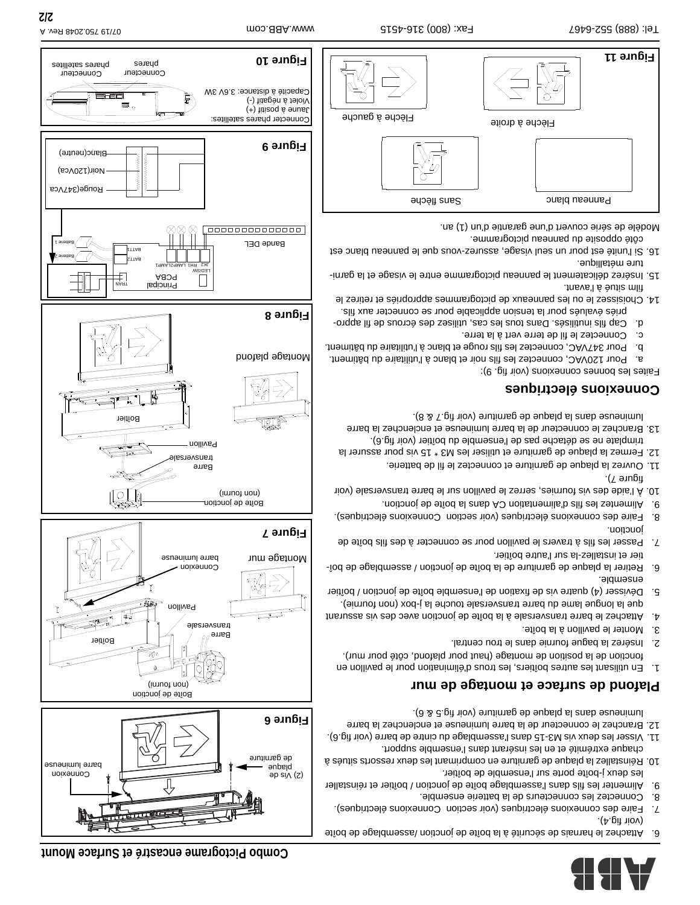

- 6. Attachez le harnais de sécurité à la boîte de jonction /assemblage de boîte
- (voir fig.4). 7. Faire des connexions électriques (voir section Connexions électriques).
- 8. Connectez les connecteurs de la batterie ensemble.
- 9. Alimenter les fils analyses lange boite de journer de réinstaller les deux j-boîte porte sur l'ensemble de boîtier.
- 10. Réinstallez la plaque de garniture en comprimant les deux ressorts situés à chaque extrémité et en les insérant dans l'ensemble support.
- 11. Visser les deux vis M3-15 dans l'assemblage du cintre de barre (voir fig.6). 12. Branchez le connecteur de la barre lumineuse et enclenchez la barre
- lumineuse dans la plaque de garniture (voir fig.5 & 6).

#### **Plafond de surface et montage de mur**

- 1. En utilisant les autres boîtiers, les trous d'élimination pour le pavillon en fonction de la position de montage (haut pour plafond, côté pour mur).
- 2. Insérez la bague fournie dans le trou central.
- 3. Monter le pavillon à la boîte.
- 4. Attachez le barre transversale à la boîte de jonction avec des vis assurant que la longue lame du barre transversale touche la j-box (non fournie).
- 5. Dévisser (4) quatre vis de fixation de l'ensemble boîte de jonction / boîtier ensemble.
- 6. Retirer la plaque de garniture de la boîte de jonction / assemblage de boîtier et installez-la sur l'autre boîtier.
- 7. Passer les fils à travers le pavillon pour se connecter à des fils boîte de jonction.
- 8. Faire des connexions électriques (voir section Connexions électriques).
- 9. Alimentez les fils d'alimentation CA dans la boîte de jonction. 10. À l'aide des vis fournies, serrez le pavillon sur le barre transversale (voir figure 7).
- 11. Ouvrez la plaque de garniture et connectez le fil de batterie.
- 12. Fermez la plaque de garniture et utiliser les M3 \* 15 vis pour assurer la
- trimplate ne se détache pas de l'ensemble du boîtier (voir fig.6). 13. Branchez le connecteur de la barre lumineuse et enclenchez la barre
- lumineuse dans la plaque de garniture (voir fig.7 & 8).

#### **Connexions électriques**

Faites les bonnes connexions (voir fig. 9):

- a. Pour 120VAC, connectez les fils noir et blanc à l'utilitaire du bâtiment.
- b. Pour 347VAC, connectez les fils rouge et blanc à l'utilitaire du bâtiment.
- c. Connectez le fil de terre vert à la terre.
- d. Cap fils inutilisés. Dans tous les cas, utilisez des écrous de fil appro-
- priés évalués pour la tension applicable pour se connecter aux fils. 14. Choisissez le ou les panneaux de pictogrammes appropriés et retirez le
- film situé à l'avant.
- 15. Insérez délicatement le panneau pictogramme entre le visage et la garniture métallique.
- 16. Si l'unité est pour un seul visage, assurez-vous que le panneau blanc est

côté opposite du panneau pictogramme. Modèle de série couvert d'une garantie d'un (1) an.







**Figure 8**

Montage plafond